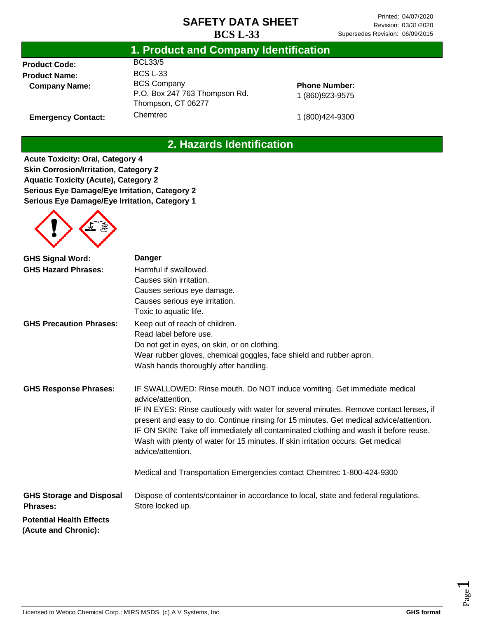| <b>Product Code:</b> | <b>BCL33/5</b>   |
|----------------------|------------------|
| <b>Product Name:</b> | <b>BCS L-33</b>  |
| <b>Company Name:</b> | <b>BCS Compa</b> |
|                      |                  |

**Emergency Contact:**

## **1. Product and Company Identification**

any P.O. Box 247 763 Thompson Rd. Thompson, CT 06277 **Chemtrec** 

**Phone Number:** 1 (860)923-9575

1 (800)424-9300

# **2. Hazards Identification**

**Acute Toxicity: Oral, Category 4 Skin Corrosion/Irritation, Category 2 Aquatic Toxicity (Acute), Category 2 Serious Eye Damage/Eye Irritation, Category 2 Serious Eye Damage/Eye Irritation, Category 1**

| <b>GHS Signal Word:</b><br><b>GHS Hazard Phrases:</b>   | <b>Danger</b><br>Harmful if swallowed.<br>Causes skin irritation.<br>Causes serious eye damage.<br>Causes serious eye irritation.                                                                                                                                                                                                                                                                                                                                                  |
|---------------------------------------------------------|------------------------------------------------------------------------------------------------------------------------------------------------------------------------------------------------------------------------------------------------------------------------------------------------------------------------------------------------------------------------------------------------------------------------------------------------------------------------------------|
| <b>GHS Precaution Phrases:</b>                          | Toxic to aquatic life.<br>Keep out of reach of children.<br>Read label before use.<br>Do not get in eyes, on skin, or on clothing.<br>Wear rubber gloves, chemical goggles, face shield and rubber apron.<br>Wash hands thoroughly after handling.                                                                                                                                                                                                                                 |
| <b>GHS Response Phrases:</b>                            | IF SWALLOWED: Rinse mouth. Do NOT induce vomiting. Get immediate medical<br>advice/attention.<br>IF IN EYES: Rinse cautiously with water for several minutes. Remove contact lenses, if<br>present and easy to do. Continue rinsing for 15 minutes. Get medical advice/attention.<br>IF ON SKIN: Take off immediately all contaminated clothing and wash it before reuse.<br>Wash with plenty of water for 15 minutes. If skin irritation occurs: Get medical<br>advice/attention. |
|                                                         | Medical and Transportation Emergencies contact Chemtrec 1-800-424-9300                                                                                                                                                                                                                                                                                                                                                                                                             |
| <b>GHS Storage and Disposal</b><br><b>Phrases:</b>      | Dispose of contents/container in accordance to local, state and federal regulations.<br>Store locked up.                                                                                                                                                                                                                                                                                                                                                                           |
| <b>Potential Health Effects</b><br>(Acute and Chronic): |                                                                                                                                                                                                                                                                                                                                                                                                                                                                                    |

Page  $\overline{\phantom{0}}$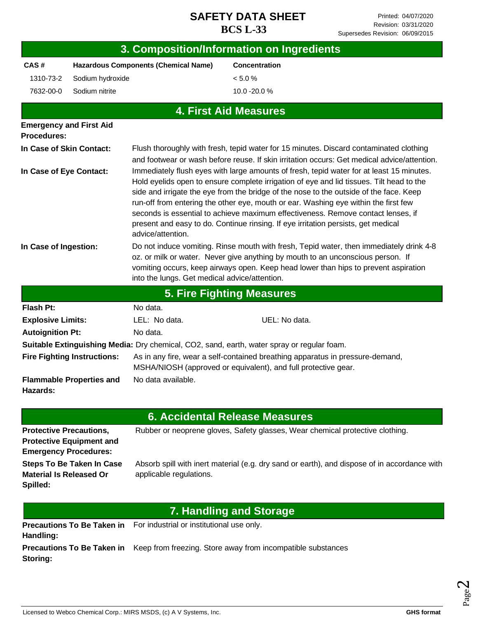|                                                  |                                                                 |                                                                    | 3. Composition/Information on Ingredients                                                                                                                                                                                                                                                                                                                                                                                                                                                                                                                                                                                                                                                                                                                                                                                                                                                                          |
|--------------------------------------------------|-----------------------------------------------------------------|--------------------------------------------------------------------|--------------------------------------------------------------------------------------------------------------------------------------------------------------------------------------------------------------------------------------------------------------------------------------------------------------------------------------------------------------------------------------------------------------------------------------------------------------------------------------------------------------------------------------------------------------------------------------------------------------------------------------------------------------------------------------------------------------------------------------------------------------------------------------------------------------------------------------------------------------------------------------------------------------------|
| CAS#                                             |                                                                 | <b>Hazardous Components (Chemical Name)</b>                        | <b>Concentration</b>                                                                                                                                                                                                                                                                                                                                                                                                                                                                                                                                                                                                                                                                                                                                                                                                                                                                                               |
| 1310-73-2                                        | Sodium hydroxide                                                |                                                                    | < 5.0 %                                                                                                                                                                                                                                                                                                                                                                                                                                                                                                                                                                                                                                                                                                                                                                                                                                                                                                            |
| 7632-00-0                                        | Sodium nitrite                                                  |                                                                    | 10.0 -20.0 %                                                                                                                                                                                                                                                                                                                                                                                                                                                                                                                                                                                                                                                                                                                                                                                                                                                                                                       |
|                                                  |                                                                 |                                                                    | <b>4. First Aid Measures</b>                                                                                                                                                                                                                                                                                                                                                                                                                                                                                                                                                                                                                                                                                                                                                                                                                                                                                       |
| <b>Procedures:</b>                               | <b>Emergency and First Aid</b>                                  |                                                                    |                                                                                                                                                                                                                                                                                                                                                                                                                                                                                                                                                                                                                                                                                                                                                                                                                                                                                                                    |
| In Case of Skin Contact:                         |                                                                 |                                                                    | Flush thoroughly with fresh, tepid water for 15 minutes. Discard contaminated clothing                                                                                                                                                                                                                                                                                                                                                                                                                                                                                                                                                                                                                                                                                                                                                                                                                             |
| In Case of Eye Contact:<br>In Case of Ingestion: |                                                                 | advice/attention.<br>into the lungs. Get medical advice/attention. | and footwear or wash before reuse. If skin irritation occurs: Get medical advice/attention.<br>Immediately flush eyes with large amounts of fresh, tepid water for at least 15 minutes.<br>Hold eyelids open to ensure complete irrigation of eye and lid tissues. Tilt head to the<br>side and irrigate the eye from the bridge of the nose to the outside of the face. Keep<br>run-off from entering the other eye, mouth or ear. Washing eye within the first few<br>seconds is essential to achieve maximum effectiveness. Remove contact lenses, if<br>present and easy to do. Continue rinsing. If eye irritation persists, get medical<br>Do not induce vomiting. Rinse mouth with fresh, Tepid water, then immediately drink 4-8<br>oz. or milk or water. Never give anything by mouth to an unconscious person. If<br>vomiting occurs, keep airways open. Keep head lower than hips to prevent aspiration |
|                                                  |                                                                 |                                                                    | <b>5. Fire Fighting Measures</b>                                                                                                                                                                                                                                                                                                                                                                                                                                                                                                                                                                                                                                                                                                                                                                                                                                                                                   |
| <b>Flash Pt:</b>                                 |                                                                 | No data.                                                           |                                                                                                                                                                                                                                                                                                                                                                                                                                                                                                                                                                                                                                                                                                                                                                                                                                                                                                                    |
| <b>Explosive Limits:</b>                         |                                                                 | LEL: No data.                                                      | UEL: No data.                                                                                                                                                                                                                                                                                                                                                                                                                                                                                                                                                                                                                                                                                                                                                                                                                                                                                                      |
| <b>Autoignition Pt:</b>                          |                                                                 | No data.                                                           |                                                                                                                                                                                                                                                                                                                                                                                                                                                                                                                                                                                                                                                                                                                                                                                                                                                                                                                    |
|                                                  |                                                                 |                                                                    | Suitable Extinguishing Media: Dry chemical, CO2, sand, earth, water spray or regular foam.                                                                                                                                                                                                                                                                                                                                                                                                                                                                                                                                                                                                                                                                                                                                                                                                                         |
|                                                  | <b>Fire Fighting Instructions:</b>                              |                                                                    | As in any fire, wear a self-contained breathing apparatus in pressure-demand,<br>MSHA/NIOSH (approved or equivalent), and full protective gear.                                                                                                                                                                                                                                                                                                                                                                                                                                                                                                                                                                                                                                                                                                                                                                    |
| Hazards:                                         | <b>Flammable Properties and</b>                                 | No data available.                                                 |                                                                                                                                                                                                                                                                                                                                                                                                                                                                                                                                                                                                                                                                                                                                                                                                                                                                                                                    |
|                                                  |                                                                 |                                                                    | <b>6. Accidental Release Measures</b>                                                                                                                                                                                                                                                                                                                                                                                                                                                                                                                                                                                                                                                                                                                                                                                                                                                                              |
| <b>Protective Precautions,</b>                   | <b>Protective Equipment and</b><br><b>Emergency Procedures:</b> |                                                                    | Rubber or neoprene gloves, Safety glasses, Wear chemical protective clothing.                                                                                                                                                                                                                                                                                                                                                                                                                                                                                                                                                                                                                                                                                                                                                                                                                                      |
| <b>Material Is Released Or</b>                   | <b>Steps To Be Taken In Case</b>                                | applicable regulations.                                            | Absorb spill with inert material (e.g. dry sand or earth), and dispose of in accordance with                                                                                                                                                                                                                                                                                                                                                                                                                                                                                                                                                                                                                                                                                                                                                                                                                       |

# **7. Handling and Storage**

**Precautions To Be Taken in**  For industrial or institutional use only. **Handling:**

**Precautions To Be Taken in** Keep from freezing. Store away from incompatible substances **Storing:**

**Spilled:**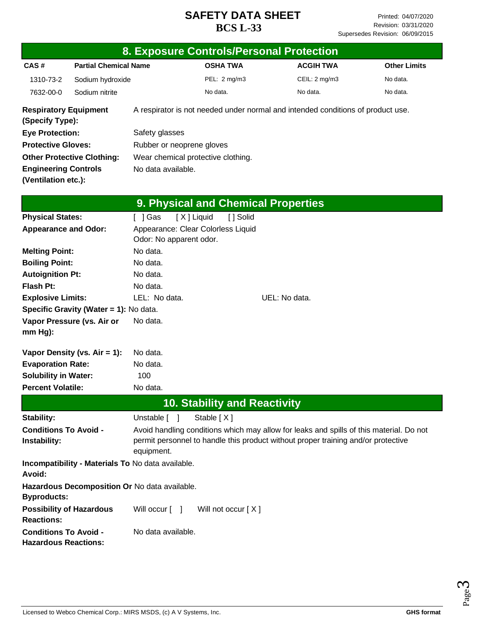|                                                             |                                                   |                           |            | 8. Exposure Controls/Personal Protection                                                |               |                  |                     |
|-------------------------------------------------------------|---------------------------------------------------|---------------------------|------------|-----------------------------------------------------------------------------------------|---------------|------------------|---------------------|
| CAS#                                                        | <b>Partial Chemical Name</b>                      |                           |            | <b>OSHA TWA</b>                                                                         |               | <b>ACGIH TWA</b> | <b>Other Limits</b> |
| 1310-73-2                                                   | Sodium hydroxide                                  |                           |            | PEL: 2 mg/m3                                                                            |               | CEIL: 2 mg/m3    | No data.            |
| 7632-00-0                                                   | Sodium nitrite                                    |                           |            | No data.                                                                                |               | No data.         | No data.            |
| <b>Respiratory Equipment</b><br>(Specify Type):             |                                                   |                           |            | A respirator is not needed under normal and intended conditions of product use.         |               |                  |                     |
| <b>Eye Protection:</b>                                      |                                                   | Safety glasses            |            |                                                                                         |               |                  |                     |
| <b>Protective Gloves:</b>                                   |                                                   | Rubber or neoprene gloves |            |                                                                                         |               |                  |                     |
|                                                             | <b>Other Protective Clothing:</b>                 |                           |            | Wear chemical protective clothing.                                                      |               |                  |                     |
| <b>Engineering Controls</b>                                 |                                                   | No data available.        |            |                                                                                         |               |                  |                     |
| (Ventilation etc.):                                         |                                                   |                           |            |                                                                                         |               |                  |                     |
|                                                             |                                                   |                           |            | 9. Physical and Chemical Properties                                                     |               |                  |                     |
| <b>Physical States:</b>                                     |                                                   | [ ] Gas                   | [X] Liquid | [ ] Solid                                                                               |               |                  |                     |
| <b>Appearance and Odor:</b>                                 |                                                   | Odor: No apparent odor.   |            | Appearance: Clear Colorless Liquid                                                      |               |                  |                     |
| <b>Melting Point:</b>                                       |                                                   | No data.                  |            |                                                                                         |               |                  |                     |
| <b>Boiling Point:</b>                                       |                                                   | No data.                  |            |                                                                                         |               |                  |                     |
| <b>Autoignition Pt:</b>                                     |                                                   | No data.                  |            |                                                                                         |               |                  |                     |
| <b>Flash Pt:</b>                                            |                                                   | No data.                  |            |                                                                                         |               |                  |                     |
| <b>Explosive Limits:</b>                                    |                                                   | LEL: No data.             |            |                                                                                         | UEL: No data. |                  |                     |
|                                                             | Specific Gravity (Water = 1): No data.            |                           |            |                                                                                         |               |                  |                     |
| mm Hg):                                                     | Vapor Pressure (vs. Air or                        | No data.                  |            |                                                                                         |               |                  |                     |
|                                                             | Vapor Density (vs. $Air = 1$ ):                   | No data.                  |            |                                                                                         |               |                  |                     |
| <b>Evaporation Rate:</b>                                    |                                                   | No data.                  |            |                                                                                         |               |                  |                     |
| <b>Solubility in Water:</b>                                 |                                                   | 100                       |            |                                                                                         |               |                  |                     |
| <b>Percent Volatile:</b>                                    |                                                   | No data.                  |            |                                                                                         |               |                  |                     |
|                                                             |                                                   |                           |            | <b>10. Stability and Reactivity</b>                                                     |               |                  |                     |
| Stability:                                                  |                                                   | Unstable [ ]              |            | Stable [X]                                                                              |               |                  |                     |
| <b>Conditions To Avoid -</b>                                |                                                   |                           |            | Avoid handling conditions which may allow for leaks and spills of this material. Do not |               |                  |                     |
| Instability:                                                |                                                   |                           |            | permit personnel to handle this product without proper training and/or protective       |               |                  |                     |
|                                                             |                                                   | equipment.                |            |                                                                                         |               |                  |                     |
| Avoid:                                                      | Incompatibility - Materials To No data available. |                           |            |                                                                                         |               |                  |                     |
| <b>Byproducts:</b>                                          | Hazardous Decomposition Or No data available.     |                           |            |                                                                                         |               |                  |                     |
| <b>Possibility of Hazardous</b><br><b>Reactions:</b>        |                                                   | Will occur [ ]            |            | Will not occur [X]                                                                      |               |                  |                     |
| <b>Conditions To Avoid -</b><br><b>Hazardous Reactions:</b> |                                                   | No data available.        |            |                                                                                         |               |                  |                     |

Page ო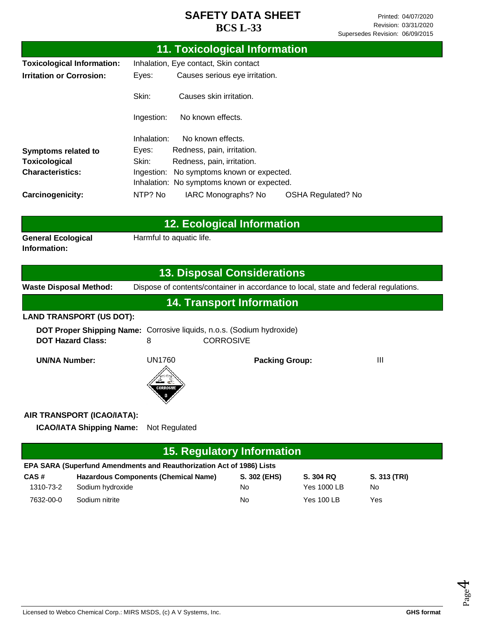|                                           | <b>11. Toxicological Information</b>                                                                   |
|-------------------------------------------|--------------------------------------------------------------------------------------------------------|
| <b>Toxicological Information:</b>         | Inhalation, Eye contact, Skin contact                                                                  |
| <b>Irritation or Corrosion:</b>           | Causes serious eye irritation.<br>Eyes:                                                                |
|                                           | Skin:<br>Causes skin irritation.                                                                       |
|                                           | No known effects.<br>Ingestion:                                                                        |
|                                           | Inhalation:<br>No known effects.                                                                       |
| Symptoms related to                       | Eyes:<br>Redness, pain, irritation.                                                                    |
| <b>Toxicological</b>                      | Skin:<br>Redness, pain, irritation.                                                                    |
| <b>Characteristics:</b>                   | Ingestion: No symptoms known or expected.                                                              |
|                                           | Inhalation: No symptoms known or expected.                                                             |
| Carcinogenicity:                          | NTP? No<br>IARC Monographs? No<br><b>OSHA Regulated? No</b>                                            |
|                                           |                                                                                                        |
|                                           | <b>12. Ecological Information</b>                                                                      |
| <b>General Ecological</b><br>Information: | Harmful to aquatic life.                                                                               |
|                                           | <b>13. Disposal Considerations</b>                                                                     |
| <b>Waste Disposal Method:</b>             | Dispose of contents/container in accordance to local, state and federal regulations.                   |
|                                           | <b>14. Transport Information</b>                                                                       |
| <b>LAND TRANSPORT (US DOT):</b>           |                                                                                                        |
| <b>DOT Hazard Class:</b>                  | <b>DOT Proper Shipping Name:</b> Corrosive liquids, n.o.s. (Sodium hydroxide)<br><b>CORROSIVE</b><br>8 |
| <b>UN/NA Number:</b>                      | <b>UN1760</b><br>Ш<br><b>Packing Group:</b>                                                            |
|                                           |                                                                                                        |
| AIR TRANSPORT (ICAO/IATA):                |                                                                                                        |
| <b>ICAO/IATA Shipping Name:</b>           | Not Regulated                                                                                          |
|                                           | <b>15. Regulatory Information</b>                                                                      |
|                                           | FDA SADA (Superfund Amendments and Pequitberization Ast of 1986) Lists                                 |

|           | EPA SARA (Superfund Amendments and Reauthorization Act of 1986) Lists |              |                   |              |
|-----------|-----------------------------------------------------------------------|--------------|-------------------|--------------|
| CAS#      | <b>Hazardous Components (Chemical Name)</b>                           | S. 302 (EHS) | S. 304 RQ         | S. 313 (TRI) |
| 1310-73-2 | Sodium hydroxide                                                      | No           | Yes 1000 LB       | No.          |
| 7632-00-0 | Sodium nitrite                                                        | No           | <b>Yes 100 LB</b> | Yes          |

Page 4